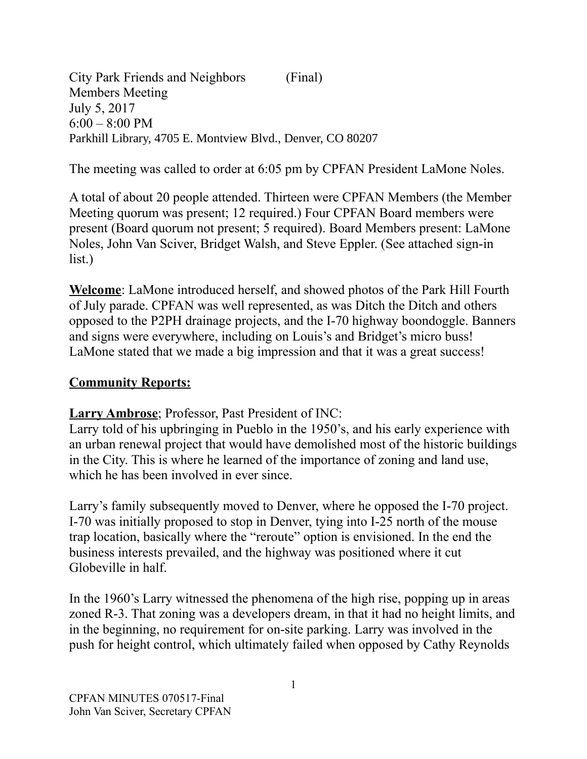City Park Friends and Neighbors (Final) Members Meeting July 5, 2017  $6:00 - 8:00$  PM Parkhill Library, 4705 E. Montview Blvd., Denver, CO 80207

The meeting was called to order at 6:05 pm by CPFAN President LaMone Noles.

A total of about 20 people attended. Thirteen were CPFAN Members (the Member Meeting quorum was present; 12 required.) Four CPFAN Board members were present (Board quorum not present; 5 required). Board Members present: LaMone Noles, John Van Sciver, Bridget Walsh, and Steve Eppler. (See attached sign-in list.)

**Welcome**: LaMone introduced herself, and showed photos of the Park Hill Fourth of July parade. CPFAN was well represented, as was Ditch the Ditch and others opposed to the P2PH drainage projects, and the I-70 highway boondoggle. Banners and signs were everywhere, including on Louis's and Bridget's micro buss! LaMone stated that we made a big impression and that it was a great success!

## **Community Reports:**

## **Larry Ambrose**; Professor, Past President of INC:

Larry told of his upbringing in Pueblo in the 1950's, and his early experience with an urban renewal project that would have demolished most of the historic buildings in the City. This is where he learned of the importance of zoning and land use, which he has been involved in ever since.

Larry's family subsequently moved to Denver, where he opposed the I-70 project. I-70 was initially proposed to stop in Denver, tying into I-25 north of the mouse trap location, basically where the "reroute" option is envisioned. In the end the business interests prevailed, and the highway was positioned where it cut Globeville in half.

In the 1960's Larry witnessed the phenomena of the high rise, popping up in areas zoned R-3. That zoning was a developers dream, in that it had no height limits, and in the beginning, no requirement for on-site parking. Larry was involved in the push for height control, which ultimately failed when opposed by Cathy Reynolds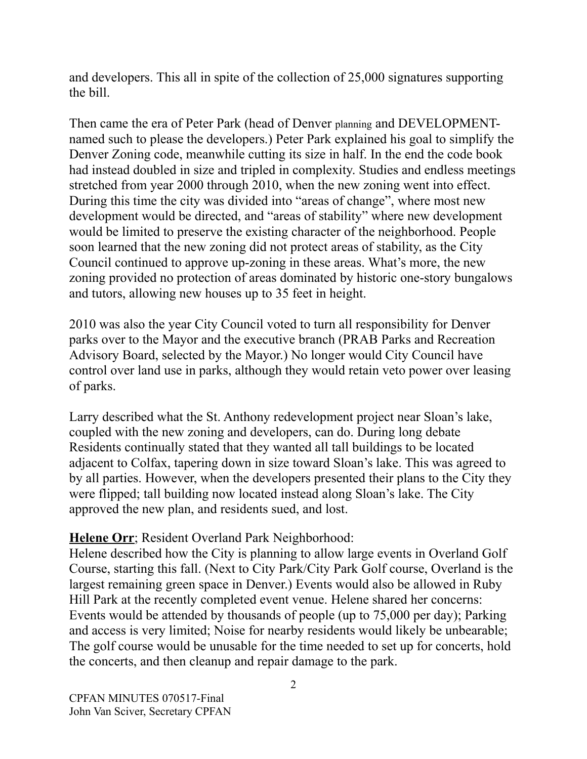and developers. This all in spite of the collection of 25,000 signatures supporting the bill.

Then came the era of Peter Park (head of Denver planning and DEVELOPMENTnamed such to please the developers.) Peter Park explained his goal to simplify the Denver Zoning code, meanwhile cutting its size in half. In the end the code book had instead doubled in size and tripled in complexity. Studies and endless meetings stretched from year 2000 through 2010, when the new zoning went into effect. During this time the city was divided into "areas of change", where most new development would be directed, and "areas of stability" where new development would be limited to preserve the existing character of the neighborhood. People soon learned that the new zoning did not protect areas of stability, as the City Council continued to approve up-zoning in these areas. What's more, the new zoning provided no protection of areas dominated by historic one-story bungalows and tutors, allowing new houses up to 35 feet in height.

2010 was also the year City Council voted to turn all responsibility for Denver parks over to the Mayor and the executive branch (PRAB Parks and Recreation Advisory Board, selected by the Mayor.) No longer would City Council have control over land use in parks, although they would retain veto power over leasing of parks.

Larry described what the St. Anthony redevelopment project near Sloan's lake, coupled with the new zoning and developers, can do. During long debate Residents continually stated that they wanted all tall buildings to be located adjacent to Colfax, tapering down in size toward Sloan's lake. This was agreed to by all parties. However, when the developers presented their plans to the City they were flipped; tall building now located instead along Sloan's lake. The City approved the new plan, and residents sued, and lost.

## **Helene Orr**; Resident Overland Park Neighborhood:

Helene described how the City is planning to allow large events in Overland Golf Course, starting this fall. (Next to City Park/City Park Golf course, Overland is the largest remaining green space in Denver.) Events would also be allowed in Ruby Hill Park at the recently completed event venue. Helene shared her concerns: Events would be attended by thousands of people (up to 75,000 per day); Parking and access is very limited; Noise for nearby residents would likely be unbearable; The golf course would be unusable for the time needed to set up for concerts, hold the concerts, and then cleanup and repair damage to the park.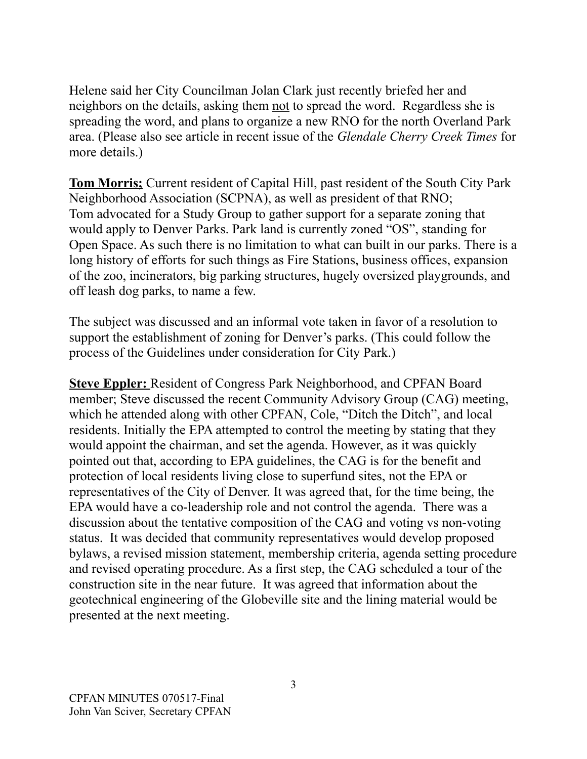Helene said her City Councilman Jolan Clark just recently briefed her and neighbors on the details, asking them not to spread the word. Regardless she is spreading the word, and plans to organize a new RNO for the north Overland Park area. (Please also see article in recent issue of the *Glendale Cherry Creek Times* for more details.)

**Tom Morris;** Current resident of Capital Hill, past resident of the South City Park Neighborhood Association (SCPNA), as well as president of that RNO; Tom advocated for a Study Group to gather support for a separate zoning that would apply to Denver Parks. Park land is currently zoned "OS", standing for Open Space. As such there is no limitation to what can built in our parks. There is a long history of efforts for such things as Fire Stations, business offices, expansion of the zoo, incinerators, big parking structures, hugely oversized playgrounds, and off leash dog parks, to name a few.

The subject was discussed and an informal vote taken in favor of a resolution to support the establishment of zoning for Denver's parks. (This could follow the process of the Guidelines under consideration for City Park.)

**Steve Eppler:** Resident of Congress Park Neighborhood, and CPFAN Board member; Steve discussed the recent Community Advisory Group (CAG) meeting, which he attended along with other CPFAN, Cole, "Ditch the Ditch", and local residents. Initially the EPA attempted to control the meeting by stating that they would appoint the chairman, and set the agenda. However, as it was quickly pointed out that, according to EPA guidelines, the CAG is for the benefit and protection of local residents living close to superfund sites, not the EPA or representatives of the City of Denver. It was agreed that, for the time being, the EPA would have a co-leadership role and not control the agenda. There was a discussion about the tentative composition of the CAG and voting vs non-voting status. It was decided that community representatives would develop proposed bylaws, a revised mission statement, membership criteria, agenda setting procedure and revised operating procedure. As a first step, the CAG scheduled a tour of the construction site in the near future. It was agreed that information about the geotechnical engineering of the Globeville site and the lining material would be presented at the next meeting.